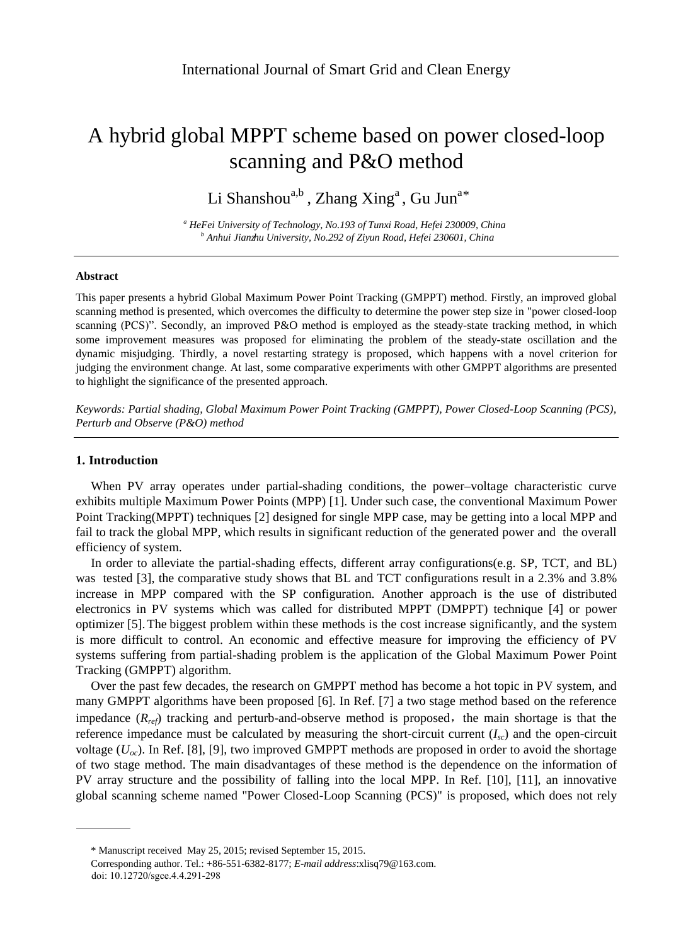# A hybrid global MPPT scheme based on power closed-loop scanning and P&O method

Li Shanshou<sup>a,b</sup>, Zhang Xing<sup>a</sup>, Gu Jun<sup>a\*</sup>

*<sup>a</sup> HeFei University of Technology, No.193 of Tunxi Road, Hefei 230009, China b* Anhui Jianzhu University, No.292 of Ziyun Road, Hefei 230601, China

#### **Abstract**

This paper presents a hybrid Global Maximum Power Point Tracking (GMPPT) method. Firstly, an improved global scanning method is presented, which overcomes the difficulty to determine the power step size in "power closed-loop scanning (PCS)". Secondly, an improved P&O method is employed as the steady-state tracking method, in which some improvement measures was proposed for eliminating the problem of the steady-state oscillation and the dynamic misjudging. Thirdly, a novel restarting strategy is proposed, which happens with a novel criterion for judging the environment change. At last, some comparative experiments with other GMPPT algorithms are presented to highlight the significance of the presented approach.

*Keywords: Partial shading, Global Maximum Power Point Tracking (GMPPT), Power Closed-Loop Scanning (PCS), Perturb and Observe (P&O) method*

# **1. Introduction**

When PV array operates under partial-shading conditions, the power–voltage characteristic curve exhibits multiple Maximum Power Points (MPP) [1]. Under such case, the conventional Maximum Power Point Tracking(MPPT) techniques [2] designed for single MPP case, may be getting into a local MPP and fail to track the global MPP, which results in significant reduction of the generated power and the overall efficiency of system.

In order to alleviate the partial-shading effects, different array configurations(e.g. SP, TCT, and BL) was tested [3], the comparative study shows that BL and TCT configurations result in a 2.3% and 3.8% increase in MPP compared with the SP configuration. Another approach is the use of distributed electronics in PV systems which was called for distributed MPPT (DMPPT) technique [4] or power optimizer [5]. The biggest problem within these methods is the cost increase significantly, and the system is more difficult to control. An economic and effective measure for improving the efficiency of PV systems suffering from partial-shading problem is the application of the Global Maximum Power Point Tracking (GMPPT) algorithm.

Over the past few decades, the research on GMPPT method has become a hot topic in PV system, and many GMPPT algorithms have been proposed [6]. In Ref. [7] a two stage method based on the reference impedance  $(R_{ref})$  tracking and perturb-and-observe method is proposed, the main shortage is that the reference impedance must be calculated by measuring the short-circuit current  $(I_{\rm sc})$  and the open-circuit voltage  $(U_{oc})$ . In Ref. [8], [9], two improved GMPPT methods are proposed in order to avoid the shortage of two stage method. The main disadvantages of these method is the dependence on the information of PV array structure and the possibility of falling into the local MPP. In Ref. [10], [11], an innovative global scanning scheme named "Power Closed-Loop Scanning (PCS)" is proposed, which does not rely

<sup>\*</sup> Manuscript received May 25, 2015; revised September 15, 2015.

Corresponding author. Tel.: +86-551-6382-8177; *E-mail address*:xlisq79@163.com.

doi: 10.12720/sgce.4.4.291-298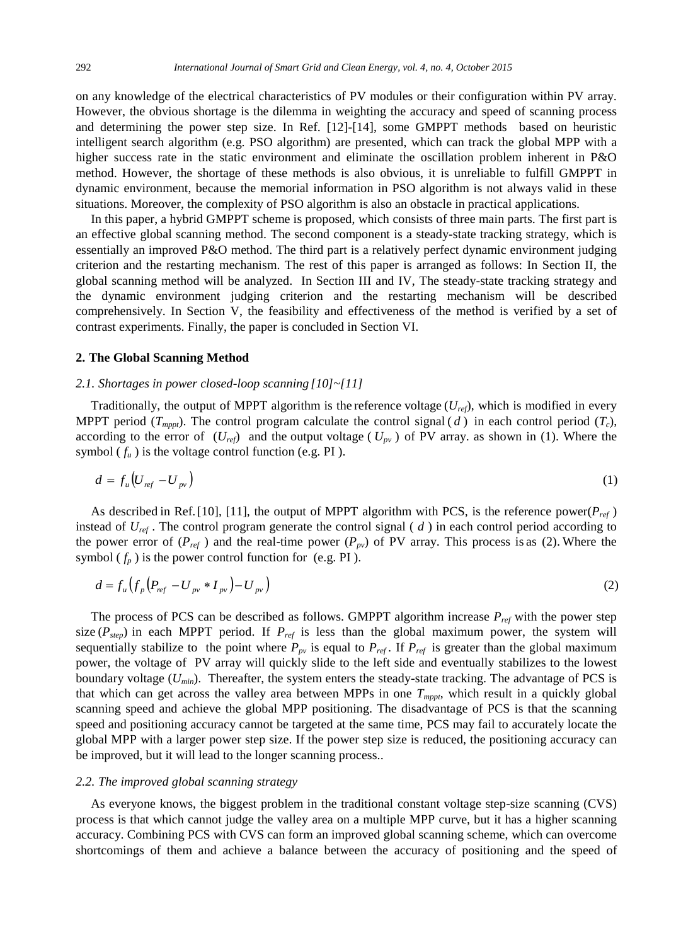on any knowledge of the electrical characteristics of PV modules or their configuration within PV array. However, the obvious shortage is the dilemma in weighting the accuracy and speed of scanning process and determining the power step size. In Ref. [12]-[14], some GMPPT methods based on heuristic intelligent search algorithm (e.g. PSO algorithm) are presented, which can track the global MPP with a higher success rate in the static environment and eliminate the oscillation problem inherent in P&O method. However, the shortage of these methods is also obvious, it is unreliable to fulfill GMPPT in dynamic environment, because the memorial information in PSO algorithm is not always valid in these situations. Moreover, the complexity of PSO algorithm is also an obstacle in practical applications.

In this paper, a hybrid GMPPT scheme is proposed, which consists of three main parts. The first part is an effective global scanning method. The second component is a steady-state tracking strategy, which is essentially an improved P&O method. The third part is a relatively perfect dynamic environment judging criterion and the restarting mechanism. The rest of this paper is arranged as follows: In Section II, the global scanning method will be analyzed. In Section III and IV, The steady-state tracking strategy and the dynamic environment judging criterion and the restarting mechanism will be described comprehensively. In Section V, the feasibility and effectiveness of the method is verified by a set of contrast experiments. Finally, the paper is concluded in Section VI.

#### **2. The Global Scanning Method**

#### *2.1. Shortages in power closed-loop scanning [10]~[11]*

Traditionally, the output of MPPT algorithm is the reference voltage  $(U_{ref})$ , which is modified in every MPPT period  $(T_{mppt})$ . The control program calculate the control signal  $(d)$  in each control period  $(T_c)$ , according to the error of  $(U_{ref})$  and the output voltage ( $U_{pv}$ ) of PV array. as shown in (1). Where the symbol  $(f_u)$  is the voltage control function (e.g. PI).

$$
d = f_u \left( U_{ref} - U_{pv} \right) \tag{1}
$$

As described in Ref. [10], [11], the output of MPPT algorithm with PCS, is the reference power( $P_{ref}$ ) instead of *Uref* . The control program generate the control signal ( *d* ) in each control period according to the power error of  $(P_{ref})$  and the real-time power  $(P_{pv})$  of PV array. This process is as (2). Where the symbol  $(f_p)$  is the power control function for (e.g. PI).

$$
d = f_u \left( f_p \left( P_{ref} - U_{pv} * I_{pv} \right) - U_{pv} \right) \tag{2}
$$

The process of PCS can be described as follows. GMPPT algorithm increase *Pref* with the power step size ( $P_{step}$ ) in each MPPT period. If  $P_{ref}$  is less than the global maximum power, the system will sequentially stabilize to the point where  $P_{pv}$  is equal to  $P_{ref}$ . If  $P_{ref}$  is greater than the global maximum power, the voltage of PV array will quickly slide to the left side and eventually stabilizes to the lowest boundary voltage (*Umin*). Thereafter, the system enters the steady-state tracking. The advantage of PCS is that which can get across the valley area between MPPs in one *Tmppt*, which result in a quickly global scanning speed and achieve the global MPP positioning. The disadvantage of PCS is that the scanning speed and positioning accuracy cannot be targeted at the same time, PCS may fail to accurately locate the global MPP with a larger power step size. If the power step size is reduced, the positioning accuracy can be improved, but it will lead to the longer scanning process..

#### *2.2. The improved global scanning strategy*

As everyone knows, the biggest problem in the traditional constant voltage step-size scanning (CVS) process is that which cannot judge the valley area on a multiple MPP curve, but it has a higher scanning accuracy. Combining PCS with CVS can form an improved global scanning scheme, which can overcome shortcomings of them and achieve a balance between the accuracy of positioning and the speed of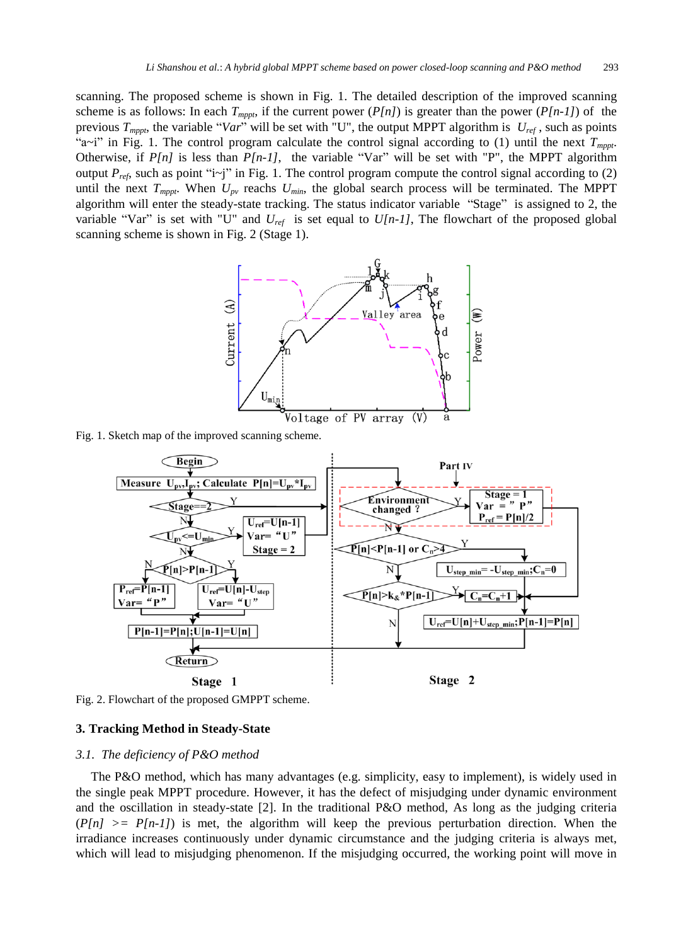scanning. The proposed scheme is shown in Fig. 1. The detailed description of the improved scanning scheme is as follows: In each  $T_{\text{m}_{\text{DD1}}}$ , if the current power ( $P[n]$ ) is greater than the power ( $P[n-1]$ ) of the previous *Tmppt*, the variable "*Var*" will be set with "U", the output MPPT algorithm is *Uref* , such as points "a~i" in Fig. 1. The control program calculate the control signal according to (1) until the next  $T_{\text{mnpt}}$ . Otherwise, if  $P[n]$  is less than  $P[n-1]$ , the variable "Var" will be set with "P", the MPPT algorithm output  $P_{ref}$ , such as point "i~j" in Fig. 1. The control program compute the control signal according to (2) until the next  $T_{mppt}$ . When  $U_{pv}$  reachs  $U_{min}$ , the global search process will be terminated. The MPPT algorithm will enter the steady-state tracking. The status indicator variable "Stage" is assigned to 2, the variable "Var" is set with "U" and *Uref* is set equal to *U[n-1]*, The flowchart of the proposed global scanning scheme is shown in Fig. 2 (Stage 1).



Fig. 1. Sketch map of the improved scanning scheme.



Fig. 2. Flowchart of the proposed GMPPT scheme.

# **3. Tracking Method in Steady-State**

#### *3.1. The deficiency of P&O method*

The P&O method, which has many advantages (e.g. simplicity, easy to implement), is widely used in the single peak MPPT procedure. However, it has the defect of misjudging under dynamic environment and the oscillation in steady-state [2]. In the traditional P&O method, As long as the judging criteria  $(P[n] \ge P[n-1])$  is met, the algorithm will keep the previous perturbation direction. When the irradiance increases continuously under dynamic circumstance and the judging criteria is always met, which will lead to misjudging phenomenon. If the misjudging occurred, the working point will move in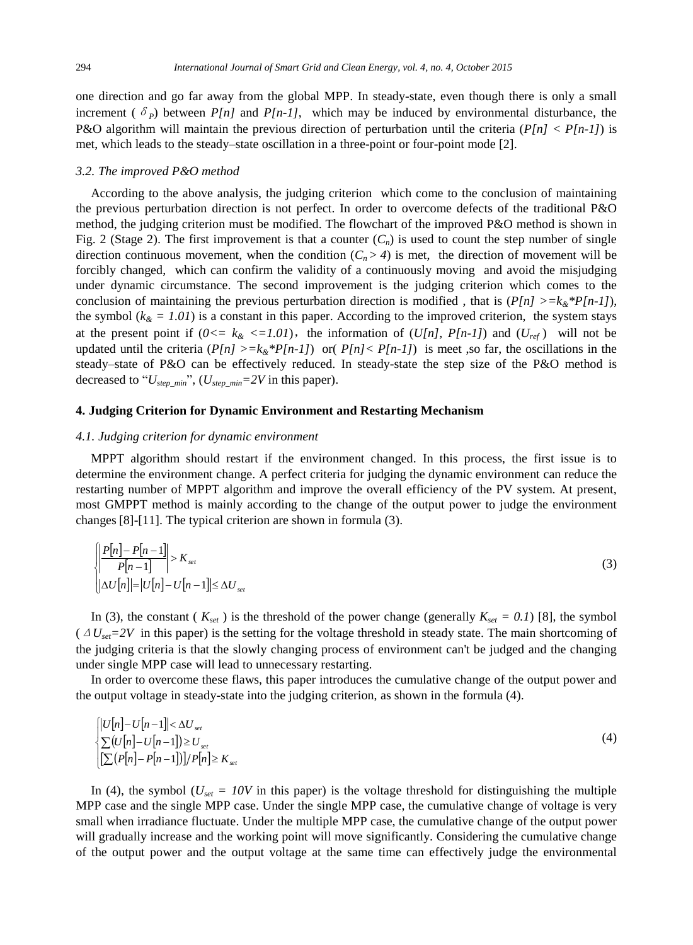one direction and go far away from the global MPP. In steady-state, even though there is only a small increment ( $\delta_p$ ) between *P[n]* and *P[n-1]*, which may be induced by environmental disturbance, the P&O algorithm will maintain the previous direction of perturbation until the criteria (*P[n] < P[n-1]*) is met, which leads to the steady–state oscillation in a three-point or four-point mode [2].

#### *3.2. The improved P&O method*

According to the above analysis, the judging criterion which come to the conclusion of maintaining the previous perturbation direction is not perfect. In order to overcome defects of the traditional P&O method, the judging criterion must be modified. The flowchart of the improved P&O method is shown in Fig. 2 (Stage 2). The first improvement is that a counter  $(C_n)$  is used to count the step number of single direction continuous movement, when the condition  $(C_n > 4)$  is met, the direction of movement will be forcibly changed, which can confirm the validity of a continuously moving and avoid the misjudging under dynamic circumstance. The second improvement is the judging criterion which comes to the conclusion of maintaining the previous perturbation direction is modified, that is  $(P[n] > = k<sub>k</sub> * P[n-1]$ ), the symbol ( $k_{\hat{\alpha}} = 1.01$ ) is a constant in this paper. According to the improved criterion, the system stays at the present point if  $(0 \le k \< l.01)$ , the information of  $(U[n], P[n-1])$  and  $(U_{ref})$  will not be updated until the criteria  $(P[n] > = k_{\&} * P[n-1])$  or  $(P[n] < P[n-1])$  is meet, so far, the oscillations in the steady–state of P&O can be effectively reduced. In steady-state the step size of the P&O method is decreased to "*Ustep\_min*", (*Ustep\_min=2V* in this paper).

# **4. Judging Criterion for Dynamic Environment and Restarting Mechanism**

# *4.1. Judging criterion for dynamic environment*

MPPT algorithm should restart if the environment changed. In this process, the first issue is to determine the environment change. A perfect criteria for judging the dynamic environment can reduce the restarting number of MPPT algorithm and improve the overall efficiency of the PV system. At present, most GMPPT method is mainly according to the change of the output power to judge the environment changes [8]-[11]. The typical criterion are shown in formula (3).

$$
\left\{ \frac{\left| P[n] - P[n-1]}{P[n-1]} \right| > K_{set} \right\}
$$
  

$$
\left| \Delta U[n] \right| = |U[n] - U[n-1]| \le \Delta U_{set}
$$
 (3)

In (3), the constant ( $K_{set}$ ) is the threshold of the power change (generally  $K_{set} = 0.1$ ) [8], the symbol (Δ*Uset=2V* in this paper) is the setting for the voltage threshold in steady state. The main shortcoming of the judging criteria is that the slowly changing process of environment can't be judged and the changing under single MPP case will lead to unnecessary restarting.

In order to overcome these flaws, this paper introduces the cumulative change of the output power and the output voltage in steady-state into the judging criterion, as shown in the formula (4).

$$
\begin{cases}\n|U[n] - U[n-1]| < \Delta U_{set} \\
\sum (U[n] - U[n-1]) \ge U_{set} \\
|\sum (P[n] - P[n-1])| / P[n] \ge K_{set}\n\end{cases} \tag{4}
$$

In (4), the symbol ( $U_{set} = 10V$  in this paper) is the voltage threshold for distinguishing the multiple MPP case and the single MPP case. Under the single MPP case, the cumulative change of voltage is very small when irradiance fluctuate. Under the multiple MPP case, the cumulative change of the output power will gradually increase and the working point will move significantly. Considering the cumulative change of the output power and the output voltage at the same time can effectively judge the environmental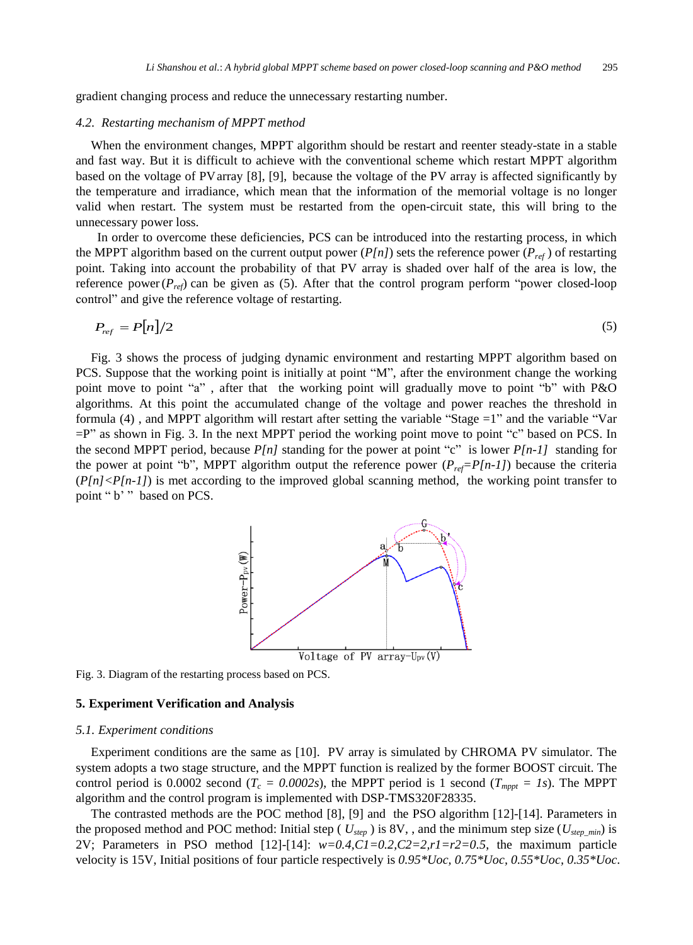gradient changing process and reduce the unnecessary restarting number.

#### *4.2. Restarting mechanism of MPPT method*

When the environment changes, MPPT algorithm should be restart and reenter steady-state in a stable and fast way. But it is difficult to achieve with the conventional scheme which restart MPPT algorithm based on the voltage of PV array [8], [9], because the voltage of the PV array is affected significantly by the temperature and irradiance, which mean that the information of the memorial voltage is no longer valid when restart. The system must be restarted from the open-circuit state, this will bring to the unnecessary power loss.

In order to overcome these deficiencies, PCS can be introduced into the restarting process, in which the MPPT algorithm based on the current output power  $(P[n])$  sets the reference power  $(P_{ref})$  of restarting point. Taking into account the probability of that PV array is shaded over half of the area is low, the reference power(*Pref*) can be given as (5). After that the control program perform "power closed-loop control" and give the reference voltage of restarting.

$$
P_{ref} = P[n]/2 \tag{5}
$$

Fig. 3 shows the process of judging dynamic environment and restarting MPPT algorithm based on PCS. Suppose that the working point is initially at point "M", after the environment change the working point move to point "a" , after that the working point will gradually move to point "b" with P&O algorithms. At this point the accumulated change of the voltage and power reaches the threshold in formula (4) , and MPPT algorithm will restart after setting the variable "Stage =1" and the variable "Var  $=$ P" as shown in Fig. 3. In the next MPPT period the working point move to point "c" based on PCS. In the second MPPT period, because  $P[n]$  standing for the power at point "c" is lower  $P[n-1]$  standing for the power at point "b", MPPT algorithm output the reference power  $(P_{ref}=P[n-1])$  because the criteria  $\frac{P[n]}{P[n-1]}$  is met according to the improved global scanning method, the working point transfer to point " b' " based on PCS.



Fig. 3. Diagram of the restarting process based on PCS.

# **5. Experiment Verification and Analysis**

#### *5.1. Experiment conditions*

Experiment conditions are the same as [10]. PV array is simulated by CHROMA PV simulator. The system adopts a two stage structure, and the MPPT function is realized by the former BOOST circuit. The control period is 0.0002 second  $(T_c = 0.0002s)$ , the MPPT period is 1 second  $(T_{mppt} = Is)$ . The MPPT algorithm and the control program is implemented with DSP-TMS320F28335.

The contrasted methods are the POC method [8], [9] and the PSO algorithm [12]-[14]. Parameters in the proposed method and POC method: Initial step ( $U_{step}$ ) is 8V,, and the minimum step size ( $U_{step,min}$ ) is 2V; Parameters in PSO method [12]-[14]: *w=0.4,C1=0.2,C2=2,r1=r2=0.5*, the maximum particle velocity is 15V, Initial positions of four particle respectively is *0.95\*Uoc, 0.75\*Uoc, 0.55\*Uoc, 0.35\*Uoc*.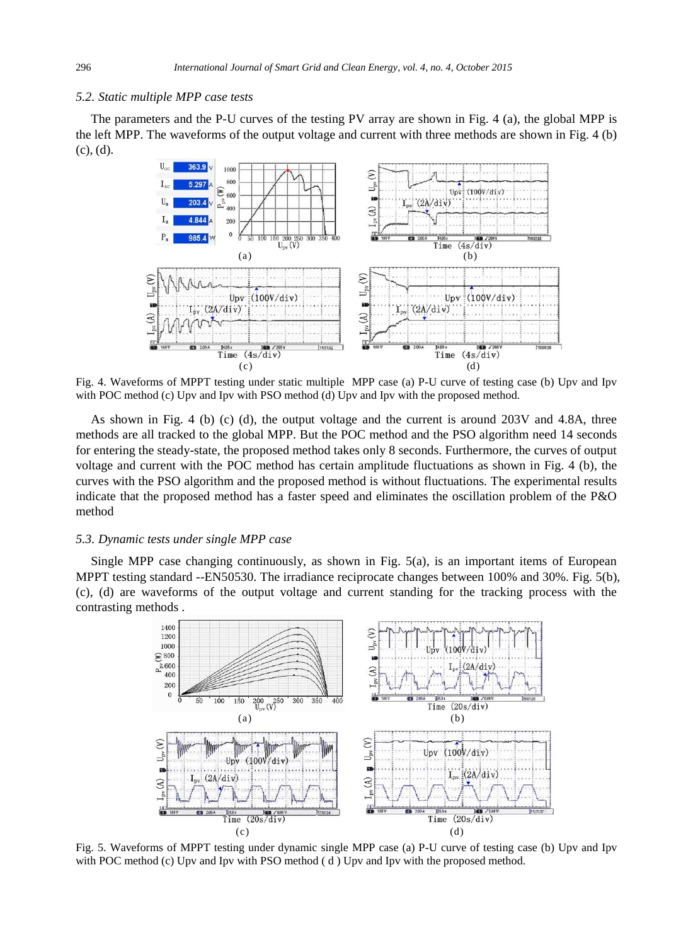#### *5.2. Static multiple MPP case tests*

The parameters and the P-U curves of the testing PV array are shown in Fig. 4 (a), the global MPP is the left MPP. The waveforms of the output voltage and current with three methods are shown in Fig. 4 (b) (c), (d).



Fig. 4. Waveforms of MPPT testing under static multiple MPP case (a) P-U curve of testing case (b) Upv and Ipv with POC method (c) Upv and Ipv with PSO method (d) Upv and Ipv with the proposed method.

As shown in Fig. 4 (b) (c) (d), the output voltage and the current is around 203V and 4.8A, three methods are all tracked to the global MPP. But the POC method and the PSO algorithm need 14 seconds for entering the steady-state, the proposed method takes only 8 seconds. Furthermore, the curves of output voltage and current with the POC method has certain amplitude fluctuations as shown in Fig. 4 (b), the curves with the PSO algorithm and the proposed method is without fluctuations. The experimental results indicate that the proposed method has a faster speed and eliminates the oscillation problem of the P&O method

# *5.3. Dynamic tests under single MPP case*

Single MPP case changing continuously, as shown in Fig. 5(a), is an important items of European MPPT testing standard --EN50530. The irradiance reciprocate changes between 100% and 30%. Fig. 5(b), (c), (d) are waveforms of the output voltage and current standing for the tracking process with the contrasting methods .



Fig. 5. Waveforms of MPPT testing under dynamic single MPP case (a) P-U curve of testing case (b) Upv and Ipv with POC method (c) Upv and Ipv with PSO method (d) Upv and Ipv with the proposed method.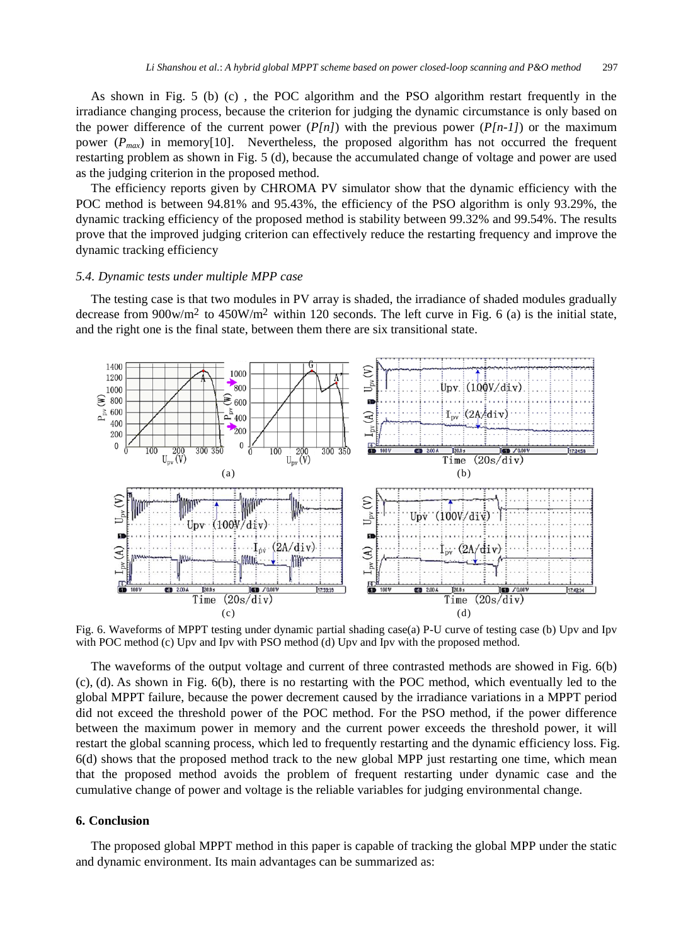As shown in Fig. 5 (b) (c) , the POC algorithm and the PSO algorithm restart frequently in the irradiance changing process, because the criterion for judging the dynamic circumstance is only based on the power difference of the current power  $(P[n])$  with the previous power  $(P[n-1])$  or the maximum power  $(P_{max})$  in memory[10]. Nevertheless, the proposed algorithm has not occurred the frequent restarting problem as shown in Fig. 5 (d), because the accumulated change of voltage and power are used as the judging criterion in the proposed method.

The efficiency reports given by CHROMA PV simulator show that the dynamic efficiency with the POC method is between 94.81% and 95.43%, the efficiency of the PSO algorithm is only 93.29%, the dynamic tracking efficiency of the proposed method is stability between 99.32% and 99.54%. The results prove that the improved judging criterion can effectively reduce the restarting frequency and improve the dynamic tracking efficiency

# *5.4. Dynamic tests under multiple MPP case*

The testing case is that two modules in PV array is shaded, the irradiance of shaded modules gradually decrease from  $900$ w/m<sup>2</sup> to  $450$ W/m<sup>2</sup> within 120 seconds. The left curve in Fig. 6 (a) is the initial state, and the right one is the final state, between them there are six transitional state.



Fig. 6. Waveforms of MPPT testing under dynamic partial shading case(a) P-U curve of testing case (b) Upv and Ipv with POC method (c) Upv and Ipv with PSO method (d) Upv and Ipv with the proposed method.

The waveforms of the output voltage and current of three contrasted methods are showed in Fig. 6(b) (c), (d). As shown in Fig. 6(b), there is no restarting with the POC method, which eventually led to the global MPPT failure, because the power decrement caused by the irradiance variations in a MPPT period did not exceed the threshold power of the POC method. For the PSO method, if the power difference between the maximum power in memory and the current power exceeds the threshold power, it will restart the global scanning process, which led to frequently restarting and the dynamic efficiency loss. Fig. 6(d) shows that the proposed method track to the new global MPP just restarting one time, which mean that the proposed method avoids the problem of frequent restarting under dynamic case and the cumulative change of power and voltage is the reliable variables for judging environmental change.

# **6. Conclusion**

The proposed global MPPT method in this paper is capable of tracking the global MPP under the static and dynamic environment. Its main advantages can be summarized as: